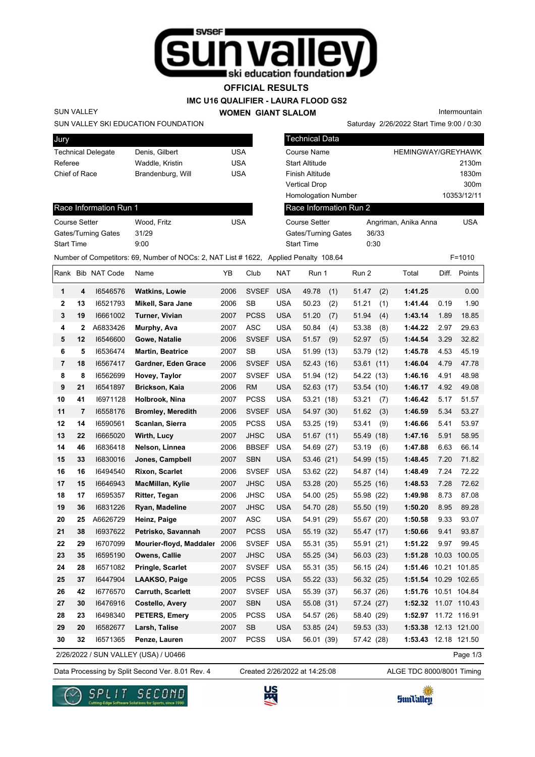

**OFFICIAL RESULTS**

**IMC U16 QUALIFIER - LAURA FLOOD GS2**

**WOMEN GIANT SLALOM**

Intermountain

## SUN VALLEY SKI EDUCATION FOUNDATION

| Jury                      |                   |     |
|---------------------------|-------------------|-----|
| <b>Technical Delegate</b> | Denis, Gilbert    | USA |
| Referee                   | Waddle, Kristin   | USA |
| Chief of Race             | Brandenburg, Will | USA |
|                           |                   |     |

|                           | SUN VALLEY SKI EDUCATION FOUNDATION                                                  |            |                            | Saturday 2/26/2022 Start Time 9:00 / 0:30 |             |
|---------------------------|--------------------------------------------------------------------------------------|------------|----------------------------|-------------------------------------------|-------------|
| Jury                      |                                                                                      |            | <b>Technical Data</b>      |                                           |             |
| <b>Technical Delegate</b> | Denis, Gilbert                                                                       | <b>USA</b> | Course Name                | <b>HEMINGWAY/GREYHAWK</b>                 |             |
| Referee                   | Waddle, Kristin                                                                      | <b>USA</b> | <b>Start Altitude</b>      |                                           | 2130m       |
| Chief of Race             | Brandenburg, Will                                                                    | <b>USA</b> | Finish Altitude            |                                           | 1830m       |
|                           |                                                                                      |            | <b>Vertical Drop</b>       |                                           | 300m        |
|                           |                                                                                      |            | <b>Homologation Number</b> |                                           | 10353/12/11 |
| Race Information Run 1    |                                                                                      |            | Race Information Run 2     |                                           |             |
| <b>Course Setter</b>      | Wood, Fritz                                                                          | <b>USA</b> | <b>Course Setter</b>       | Angriman, Anika Anna                      | <b>USA</b>  |
| Gates/Turning Gates       | 31/29                                                                                |            | Gates/Turning Gates        | 36/33                                     |             |
| <b>Start Time</b>         | 9:00                                                                                 |            | <b>Start Time</b>          | 0:30                                      |             |
|                           | Number of Competitors: 69, Number of NOCs: 2, NAT List #1622, Applied Penalty 108.64 |            |                            |                                           | $F = 1010$  |

## Race Information Run 1

SUN VALLEY

| Wood. Fritz | USA |
|-------------|-----|
| 31/29       |     |
| 9:00        |     |
|             |     |

|                |              | Rank Bib NAT Code | Name                                 | YΒ   | Club         | <b>NAT</b> | Run 1        | Run 2      |      | Total                | Diff. | Points       |
|----------------|--------------|-------------------|--------------------------------------|------|--------------|------------|--------------|------------|------|----------------------|-------|--------------|
| 1              | 4            | 16546576          | <b>Watkins, Lowie</b>                | 2006 | <b>SVSEF</b> | <b>USA</b> | 49.78<br>(1) | 51.47      | (2)  | 1:41.25              |       | 0.00         |
| 2              | 13           | 16521793          | Mikell, Sara Jane                    | 2006 | <b>SB</b>    | <b>USA</b> | 50.23<br>(2) | 51.21      | (1)  | 1:41.44              | 0.19  | 1.90         |
| 3              | 19           | 16661002          | Turner, Vivian                       | 2007 | <b>PCSS</b>  | <b>USA</b> | 51.20<br>(7) | 51.94      | (4)  | 1:43.14              | 1.89  | 18.85        |
| 4              | $\mathbf{2}$ | A6833426          | Murphy, Ava                          | 2007 | <b>ASC</b>   | <b>USA</b> | 50.84<br>(4) | 53.38      | (8)  | 1:44.22              | 2.97  | 29.63        |
| 5              | 12           | 16546600          | Gowe, Natalie                        | 2006 | <b>SVSEF</b> | <b>USA</b> | 51.57<br>(9) | 52.97      | (5)  | 1:44.54              | 3.29  | 32.82        |
| 6              | 5            | 16536474          | <b>Martin, Beatrice</b>              | 2007 | <b>SB</b>    | <b>USA</b> | 51.99 (13)   | 53.79 (12) |      | 1:45.78              | 4.53  | 45.19        |
| $\overline{7}$ | 18           | 16567417          | Gardner, Eden Grace                  | 2006 | <b>SVSEF</b> | <b>USA</b> | 52.43 (16)   | 53.61      | (11) | 1:46.04              | 4.79  | 47.78        |
| 8              | 8            | 16562699          | Hovey, Taylor                        | 2007 | <b>SVSEF</b> | <b>USA</b> | 51.94 (12)   | 54.22 (13) |      | 1:46.16              | 4.91  | 48.98        |
| 9              | 21           | 16541897          | Brickson, Kaia                       | 2006 | <b>RM</b>    | <b>USA</b> | 52.63(17)    | 53.54 (10) |      | 1:46.17              | 4.92  | 49.08        |
| 10             | 41           | 16971128          | Holbrook, Nina                       | 2007 | <b>PCSS</b>  | <b>USA</b> | 53.21 (18)   | 53.21      | (7)  | 1:46.42              | 5.17  | 51.57        |
| 11             | 7            | 16558176          | <b>Bromley, Meredith</b>             | 2006 | <b>SVSEF</b> | <b>USA</b> | 54.97 (30)   | 51.62      | (3)  | 1:46.59              | 5.34  | 53.27        |
| 12             | 14           | 16590561          | Scanlan, Sierra                      | 2005 | <b>PCSS</b>  | <b>USA</b> | 53.25 (19)   | 53.41      | (9)  | 1:46.66              | 5.41  | 53.97        |
| 13             | 22           | 16665020          | Wirth, Lucy                          | 2007 | <b>JHSC</b>  | <b>USA</b> | 51.67(11)    | 55.49      | (18) | 1:47.16              | 5.91  | 58.95        |
| 14             | 46           | 16836418          | Nelson, Linnea                       | 2006 | <b>BBSEF</b> | <b>USA</b> | 54.69 (27)   | 53.19      | (6)  | 1:47.88              | 6.63  | 66.14        |
| 15             | 33           | 16830016          | Jones, Campbell                      | 2007 | <b>SBN</b>   | <b>USA</b> | 53.46 (21)   | 54.99      | (15) | 1:48.45              | 7.20  | 71.82        |
| 16             | 16           | 16494540          | <b>Rixon, Scarlet</b>                | 2006 | <b>SVSEF</b> | <b>USA</b> | 53.62 (22)   | 54.87 (14) |      | 1:48.49              | 7.24  | 72.22        |
| 17             | 15           | 16646943          | MacMillan, Kylie                     | 2007 | <b>JHSC</b>  | <b>USA</b> | 53.28 (20)   | 55.25 (16) |      | 1:48.53              | 7.28  | 72.62        |
| 18             | 17           | 16595357          | Ritter, Tegan                        | 2006 | <b>JHSC</b>  | <b>USA</b> | 54.00 (25)   | 55.98 (22) |      | 1:49.98              | 8.73  | 87.08        |
| 19             | 36           | 16831226          | Ryan, Madeline                       | 2007 | <b>JHSC</b>  | <b>USA</b> | 54.70 (28)   | 55.50 (19) |      | 1:50.20              | 8.95  | 89.28        |
| 20             | 25           | A6626729          | Heinz, Paige                         | 2007 | ASC          | <b>USA</b> | 54.91 (29)   | 55.67 (20) |      | 1:50.58              | 9.33  | 93.07        |
| 21             | 38           | 16937622          | Petrisko, Savannah                   | 2007 | <b>PCSS</b>  | <b>USA</b> | 55.19 (32)   | 55.47 (17) |      | 1:50.66              | 9.41  | 93.87        |
| 22             | 29           | 16707099          | Mourier-floyd, Maddaler              | 2006 | <b>SVSEF</b> | <b>USA</b> | 55.31 (35)   | 55.91 (21) |      | 1:51.22              | 9.97  | 99.45        |
| 23             | 35           | 16595190          | Owens, Callie                        | 2007 | <b>JHSC</b>  | <b>USA</b> | 55.25 (34)   | 56.03 (23) |      | 1:51.28              |       | 10.03 100.05 |
| 24             | 28           | 16571082          | Pringle, Scarlet                     | 2007 | <b>SVSEF</b> | <b>USA</b> | 55.31 (35)   | 56.15 (24) |      | 1:51.46              |       | 10.21 101.85 |
| 25             | 37           | 16447904          | LAAKSO, Paige                        | 2005 | <b>PCSS</b>  | <b>USA</b> | 55.22 (33)   | 56.32 (25) |      | 1:51.54 10.29 102.65 |       |              |
| 26             | 42           | 16776570          | Carruth, Scarlett                    | 2007 | <b>SVSEF</b> | <b>USA</b> | 55.39 (37)   | 56.37 (26) |      | 1:51.76 10.51 104.84 |       |              |
| 27             | 30           | 16476916          | Costello, Avery                      | 2007 | <b>SBN</b>   | <b>USA</b> | 55.08 (31)   | 57.24 (27) |      | 1:52.32 11.07 110.43 |       |              |
| 28             | 23           | 16498340          | <b>PETERS, Emery</b>                 | 2005 | <b>PCSS</b>  | <b>USA</b> | 54.57 (26)   | 58.40 (29) |      | 1:52.97              |       | 11.72 116.91 |
| 29             | 20           | 16582677          | Larsh, Talise                        | 2007 | <b>SB</b>    | <b>USA</b> | 53.85 (24)   | 59.53 (33) |      | 1:53.38 12.13 121.00 |       |              |
| 30             | 32           | 16571365          | Penze, Lauren                        | 2007 | <b>PCSS</b>  | <b>USA</b> | 56.01 (39)   | 57.42 (28) |      | 1:53.43 12.18 121.50 |       |              |
|                |              |                   | 2/26/2022 / SUN VALLEY (USA) / U0466 |      |              |            |              |            |      |                      |       | Page 1/3     |

2/26/2022 / SUN VALLEY (USA) / U0466

Data Processing by Split Second Ver. 8.01 Rev. 4 Created 2/26/2022 at 14:25:08 ALGE TDC 8000/8001 Timing

Created 2/26/2022 at 14:25:08





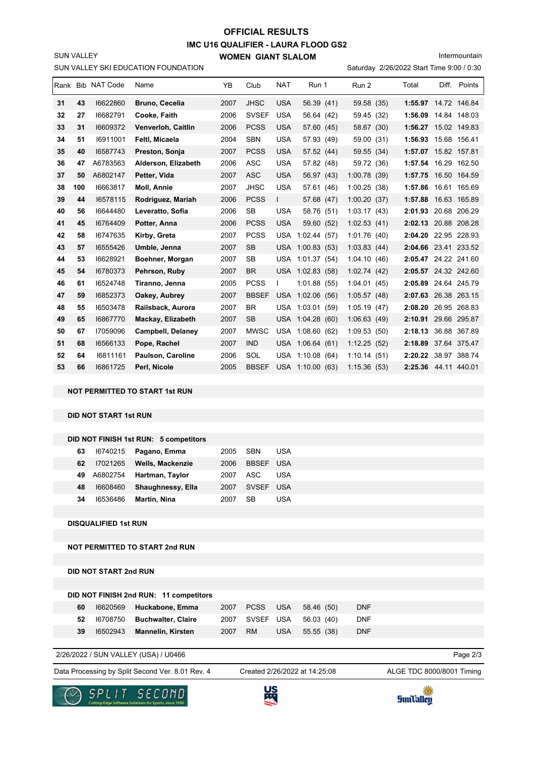## **IMC U16 QUALIFIER - LAURA FLOOD GS2 WOMEN GIANT SLALOM OFFICIAL RESULTS**

Intermountain

SUN VALLEY

|    | SUN VALLEY SKI EDUCATION FOUNDATION<br>Saturday 2/26/2022 Start Time 9:00 / 0:30 |                   |                          |      |              |              |             |               |                      |       |              |
|----|----------------------------------------------------------------------------------|-------------------|--------------------------|------|--------------|--------------|-------------|---------------|----------------------|-------|--------------|
|    |                                                                                  | Rank Bib NAT Code | Name                     | YB   | Club         | <b>NAT</b>   | Run 1       | Run 2         | Total                | Diff. | Points       |
| 31 | 43                                                                               | 16622860          | <b>Bruno, Cecelia</b>    | 2007 | <b>JHSC</b>  | <b>USA</b>   | 56.39 (41)  | 59.58 (35)    | 1:55.97 14.72 146.84 |       |              |
| 32 | 27                                                                               | 16682791          | Cooke, Faith             | 2006 | <b>SVSEF</b> | <b>USA</b>   | 56.64 (42)  | 59.45<br>(32) | 1:56.09              |       | 14.84 148.03 |
| 33 | 31                                                                               | 16609372          | Venverloh, Caitlin       | 2006 | <b>PCSS</b>  | <b>USA</b>   | 57.60 (45)  | 58.67 (30)    | 1:56.27 15.02 149.83 |       |              |
| 34 | 51                                                                               | 16911001          | Feltl, Micaela           | 2004 | <b>SBN</b>   | <b>USA</b>   | 57.93 (49)  | 59.00 (31)    | 1:56.93              |       | 15.68 156.41 |
| 35 | 40                                                                               | 16587743          | Preston, Sonja           | 2007 | <b>PCSS</b>  | <b>USA</b>   | 57.52 (44)  | 59.55 (34)    | 1:57.07 15.82 157.81 |       |              |
| 36 | 47                                                                               | A6783563          | Alderson, Elizabeth      | 2006 | <b>ASC</b>   | <b>USA</b>   | 57.82 (48)  | 59.72 (36)    | 1:57.54              |       | 16.29 162.50 |
| 37 | 50                                                                               | A6802147          | Petter, Vida             | 2007 | <b>ASC</b>   | <b>USA</b>   | 56.97 (43)  | 1:00.78(39)   | 1:57.75              |       | 16.50 164.59 |
| 38 | 100                                                                              | 16663817          | <b>Moll, Annie</b>       | 2007 | <b>JHSC</b>  | <b>USA</b>   | 57.61 (46)  | 1:00.25(38)   | 1:57.86              |       | 16.61 165.69 |
| 39 | 44                                                                               | 16578115          | Rodriguez, Mariah        | 2006 | <b>PCSS</b>  | $\mathbf{L}$ | 57.68 (47)  | 1:00.20(37)   | 1:57.88              |       | 16.63 165.89 |
| 40 | 56                                                                               | 16644480          | Leveratto, Sofia         | 2006 | <b>SB</b>    | <b>USA</b>   | 58.76 (51)  | 1:03.17(43)   | 2:01.93              |       | 20.68 206.29 |
| 41 | 45                                                                               | 16764409          | Potter, Anna             | 2006 | <b>PCSS</b>  | <b>USA</b>   | 59.60 (52)  | 1:02.53(41)   | 2:02.13 20.88 208.28 |       |              |
| 42 | 58                                                                               | 16747635          | Kirby, Greta             | 2007 | <b>PCSS</b>  | <b>USA</b>   | 1:02.44(57) | 1:01.76(40)   | 2:04.20              |       | 22.95 228.93 |
| 43 | 57                                                                               | 16555426          | Umble, Jenna             | 2007 | <b>SB</b>    | <b>USA</b>   | 1:00.83(53) | 1:03.83(44)   | 2:04.66 23.41 233.52 |       |              |
| 44 | 53                                                                               | 16628921          | Boehner, Morgan          | 2007 | <b>SB</b>    | USA          | 1:01.37(54) | 1:04.10(46)   | 2:05.47 24.22 241.60 |       |              |
| 45 | 54                                                                               | 16780373          | Pehrson, Ruby            | 2007 | <b>BR</b>    | <b>USA</b>   | 1:02.83(58) | 1:02.74(42)   | 2:05.57 24.32 242.60 |       |              |
| 46 | 61                                                                               | 16524748          | Tiranno, Jenna           | 2005 | <b>PCSS</b>  | L            | 1:01.88(55) | 1:04.01(45)   | 2:05.89 24.64 245.79 |       |              |
| 47 | 59                                                                               | 16852373          | Oakey, Aubrey            | 2007 | <b>BBSEF</b> | <b>USA</b>   | 1:02.06(56) | 1:05.57(48)   | 2:07.63 26.38 263.15 |       |              |
| 48 | 55                                                                               | 16503478          | Railsback, Aurora        | 2007 | <b>BR</b>    | <b>USA</b>   | 1:03.01(59) | 1:05.19(47)   | 2:08.20              |       | 26.95 268.83 |
| 49 | 65                                                                               | 16867770          | Mackay, Elizabeth        | 2007 | <b>SB</b>    | <b>USA</b>   | 1:04.28(60) | 1:06.63(49)   | 2:10.91              |       | 29.66 295.87 |
| 50 | 67                                                                               | 17059096          | <b>Campbell, Delaney</b> | 2007 | <b>MWSC</b>  | <b>USA</b>   | 1:08.60(62) | 1:09.53(50)   | 2:18.13              |       | 36.88 367.89 |
| 51 | 68                                                                               | 16566133          | Pope, Rachel             | 2007 | <b>IND</b>   | USA.         | 1:06.64(61) | 1:12.25(52)   | 2:18.89              |       | 37.64 375.47 |
| 52 | 64                                                                               | 16811161          | <b>Paulson, Caroline</b> | 2006 | SOL          | <b>USA</b>   | 1:10.08(64) | 1:10.14(51)   | 2:20.22              |       | 38.97 388.74 |
| 53 | 66                                                                               | 16861725          | Perl, Nicole             | 2005 | <b>BBSEF</b> | <b>USA</b>   | 1:10.00(63) | 1:15.36(53)   | 2:25.36 44.11 440.01 |       |              |

**NOT PERMITTED TO START 1st RUN**

**DID NOT START 1st RUN**

|    |          | DID NOT FINISH 1st RUN: 5 competitors |      |              |     |
|----|----------|---------------------------------------|------|--------------|-----|
| 63 | 16740215 | Pagano, Emma                          | 2005 | <b>SBN</b>   | USA |
| 62 | 17021265 | <b>Wells, Mackenzie</b>               | 2006 | <b>BBSFF</b> | USA |
| 49 | A6802754 | Hartman, Taylor                       | 2007 | ASC.         | USA |
| 48 | 16608460 | Shaughnessy, Ella                     | 2007 | <b>SVSFF</b> | USA |
| 34 | 16536486 | Martin, Nina                          | 2007 | <b>SB</b>    | USA |

**DISQUALIFIED 1st RUN**

**NOT PERMITTED TO START 2nd RUN**

**DID NOT START 2nd RUN**

|    |          | DID NOT FINISH 2nd RUN: 11 competitors |      |           |            |                           |            |
|----|----------|----------------------------------------|------|-----------|------------|---------------------------|------------|
| 60 |          | 16620569 Huckabone, Emma               |      | 2007 PCSS |            | USA 58.46 (50)            | <b>DNF</b> |
| 52 | 16708750 | <b>Buchwalter, Claire</b>              |      |           |            | 2007 SVSEF USA 56.03 (40) | <b>DNF</b> |
| 39 | 16502943 | <b>Mannelin, Kirsten</b>               | 2007 | <b>RM</b> | <b>USA</b> | 55.55 (38)                | <b>DNF</b> |
|    |          |                                        |      |           |            |                           |            |

2/26/2022 / SUN VALLEY (USA) / U0466

Data Processing by Split Second Ver. 8.01 Rev. 4 Created 2/26/2022 at 14:25:08 ALGE TDC 8000/8001 Timing

Created 2/26/2022 at 14:25:08

Page 2/3